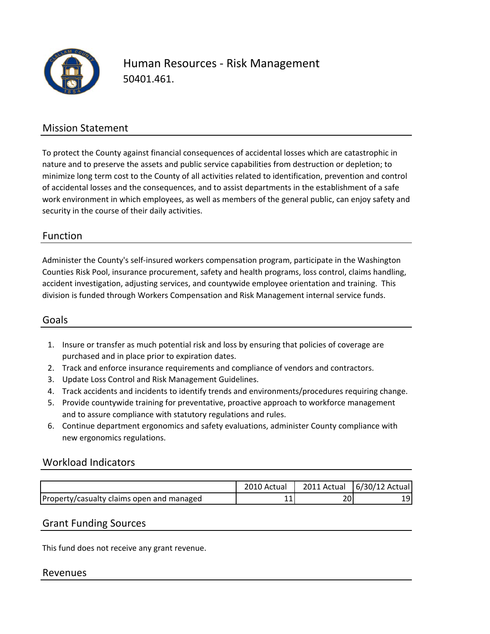

Human Resources ‐ Risk Management 50401.461.

### Mission Statement

To protect the County against financial consequences of accidental losses which are catastrophic in nature and to preserve the assets and public service capabilities from destruction or depletion; to minimize long term cost to the County of all activities related to identification, prevention and control of accidental losses and the consequences, and to assist departments in the establishment of a safe work environment in which employees, as well as members of the general public, can enjoy safety and security in the course of their daily activities.

### Function

Administer the County's self‐insured workers compensation program, participate in the Washington Counties Risk Pool, insurance procurement, safety and health programs, loss control, claims handling, accident investigation, adjusting services, and countywide employee orientation and training. This division is funded through Workers Compensation and Risk Management internal service funds.

#### Goals

- 1. Insure or transfer as much potential risk and loss by ensuring that policies of coverage are purchased and in place prior to expiration dates.
- 2. Track and enforce insurance requirements and compliance of vendors and contractors.
- 3. Update Loss Control and Risk Management Guidelines.
- 4. Track accidents and incidents to identify trends and environments/procedures requiring change.
- 5. Provide countywide training for preventative, proactive approach to workforce management and to assure compliance with statutory regulations and rules.
- 6. Continue department ergonomics and safety evaluations, administer County compliance with new ergonomics regulations.

#### Workload Indicators

|                                           | 2010 Actual | 2011 Actual | $ 6/30/12$ Actual |
|-------------------------------------------|-------------|-------------|-------------------|
| Property/casualty claims open and managed | --          |             |                   |

#### Grant Funding Sources

This fund does not receive any grant revenue.

#### Revenues